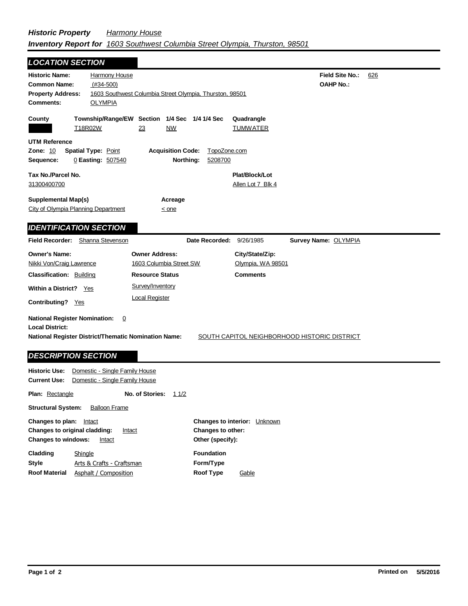## *Historic Property Harmony House Inventory Report for 1603 Southwest Columbia Street Olympia, Thurston, 98501*

| <b>LOCATION SECTION</b>                                                                                                |                                                                  |                                                                     |                                      |                                              |                                            |     |
|------------------------------------------------------------------------------------------------------------------------|------------------------------------------------------------------|---------------------------------------------------------------------|--------------------------------------|----------------------------------------------|--------------------------------------------|-----|
| <b>Historic Name:</b><br><b>Common Name:</b><br><b>Property Address:</b><br><b>Comments:</b>                           | Harmony House<br>$(H34-500)$<br><b>OLYMPIA</b>                   | 1603 Southwest Columbia Street Olympia, Thurston, 98501             |                                      |                                              | <b>Field Site No.:</b><br><b>OAHP No.:</b> | 626 |
| County<br>T18R02W                                                                                                      |                                                                  | Township/Range/EW Section 1/4 Sec 1/4 1/4 Sec<br>23<br><b>NW</b>    |                                      | Quadrangle<br><b>TUMWATER</b>                |                                            |     |
| <b>UTM Reference</b><br><b>Zone: 10</b><br>Sequence:                                                                   | <b>Spatial Type: Point</b><br>0 Easting: 507540                  | <b>Acquisition Code:</b>                                            | TopoZone.com<br>Northing:<br>5208700 |                                              |                                            |     |
| Tax No./Parcel No.<br>31300400700                                                                                      |                                                                  |                                                                     |                                      | Plat/Block/Lot<br>Allen Lot 7 Blk 4          |                                            |     |
| <b>Supplemental Map(s)</b><br>City of Olympia Planning Department                                                      |                                                                  | Acreage<br>$\leq$ one                                               |                                      |                                              |                                            |     |
| <b>IDENTIFICATION SECTION</b>                                                                                          |                                                                  |                                                                     |                                      |                                              |                                            |     |
| <b>Field Recorder:</b>                                                                                                 | Shanna Stevenson                                                 |                                                                     | Date Recorded:                       | 9/26/1985                                    | Survey Name: OLYMPIA                       |     |
| <b>Owner's Name:</b><br>Nikki Von/Craig Lawrence                                                                       |                                                                  | <b>Owner Address:</b><br>1603 Columbia Street SW                    |                                      | City/State/Zip:<br>Olympia, WA 98501         |                                            |     |
| <b>Classification: Building</b><br>Within a District? Yes<br>Contributing? Yes                                         |                                                                  | <b>Resource Status</b><br>Survey/Inventory<br><b>Local Register</b> |                                      | <b>Comments</b>                              |                                            |     |
| <b>National Register Nomination:</b><br><b>Local District:</b><br>National Register District/Thematic Nomination Name: | 0                                                                |                                                                     |                                      | SOUTH CAPITOL NEIGHBORHOOD HISTORIC DISTRICT |                                            |     |
| <b>DESCRIPTION SECTION</b>                                                                                             |                                                                  |                                                                     |                                      |                                              |                                            |     |
| <b>Historic Use:</b><br><b>Current Use:</b>                                                                            | Domestic - Single Family House<br>Domestic - Single Family House |                                                                     |                                      |                                              |                                            |     |
| <b>Plan: Rectangle</b>                                                                                                 |                                                                  | No. of Stories:<br>11/2                                             |                                      |                                              |                                            |     |
| <b>Structural System:</b>                                                                                              | <b>Balloon Frame</b>                                             |                                                                     |                                      |                                              |                                            |     |

| Changes to plan:              | Intact                    | <b>Changes to interior:</b> Unknown |       |  |
|-------------------------------|---------------------------|-------------------------------------|-------|--|
| Changes to original cladding: | Intact                    | Changes to other:                   |       |  |
| <b>Changes to windows:</b>    | Intact                    | Other (specify):                    |       |  |
| Cladding                      | Shingle                   | <b>Foundation</b>                   |       |  |
| <b>Style</b>                  | Arts & Crafts - Craftsman | Form/Type                           |       |  |
| <b>Roof Material</b>          | Asphalt / Composition     | Roof Type                           | Gable |  |